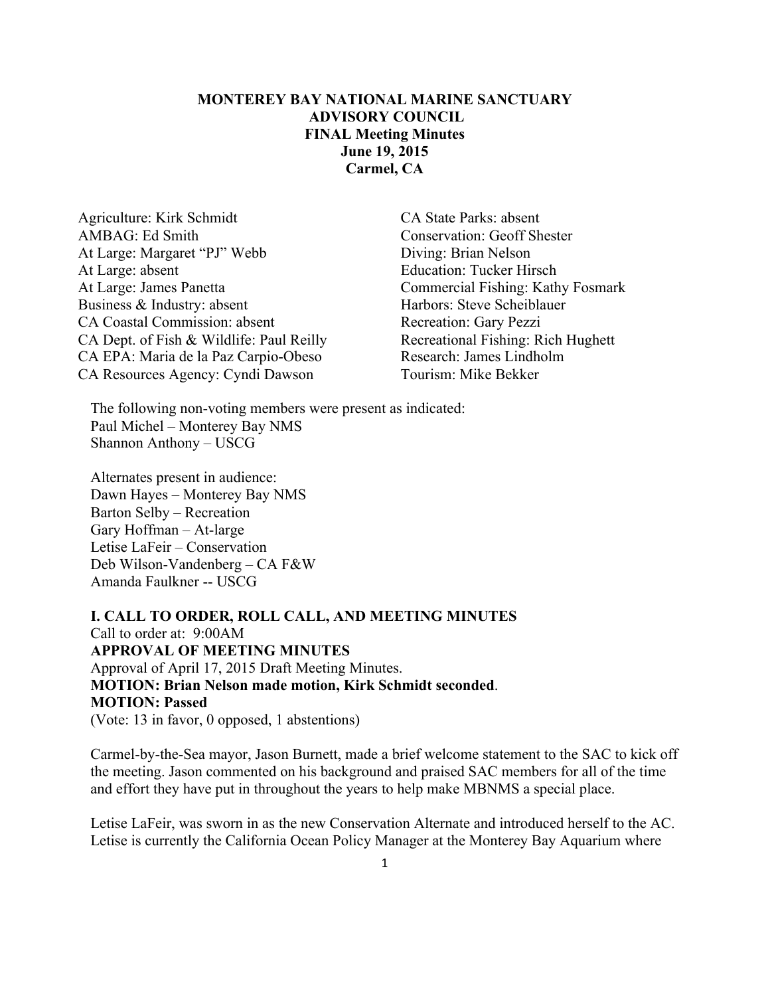## **MONTEREY BAY NATIONAL MARINE SANCTUARY ADVISORY COUNCIL FINAL Meeting Minutes June 19, 2015 Carmel, CA**

Agriculture: Kirk Schmidt CA State Parks: absent AMBAG: Ed Smith Conservation: Geoff Shester At Large: Margaret "PJ" Webb Diving: Brian Nelson At Large: absent Education: Tucker Hirsch At Large: James Panetta Commercial Fishing: Kathy Fosmark Business & Industry: absent Harbors: Steve Scheiblauer CA Coastal Commission: absent Recreation: Gary Pezzi CA Dept. of Fish & Wildlife: Paul Reilly Recreational Fishing: Rich Hughett CA EPA: Maria de la Paz Carpio-Obeso Research: James Lindholm CA Resources Agency: Cyndi Dawson Tourism: Mike Bekker

The following non-voting members were present as indicated: Paul Michel – Monterey Bay NMS Shannon Anthony – USCG

Alternates present in audience: Dawn Hayes – Monterey Bay NMS Barton Selby – Recreation Gary Hoffman – At-large Letise LaFeir – Conservation Deb Wilson-Vandenberg – CA F&W Amanda Faulkner -- USCG

**I. CALL TO ORDER, ROLL CALL, AND MEETING MINUTES** Call to order at: 9:00AM **APPROVAL OF MEETING MINUTES** Approval of April 17, 2015 Draft Meeting Minutes. **MOTION: Brian Nelson made motion, Kirk Schmidt seconded**. **MOTION: Passed** (Vote: 13 in favor, 0 opposed, 1 abstentions)

Carmel-by-the-Sea mayor, Jason Burnett, made a brief welcome statement to the SAC to kick off the meeting. Jason commented on his background and praised SAC members for all of the time and effort they have put in throughout the years to help make MBNMS a special place.

Letise LaFeir, was sworn in as the new Conservation Alternate and introduced herself to the AC. Letise is currently the California Ocean Policy Manager at the Monterey Bay Aquarium where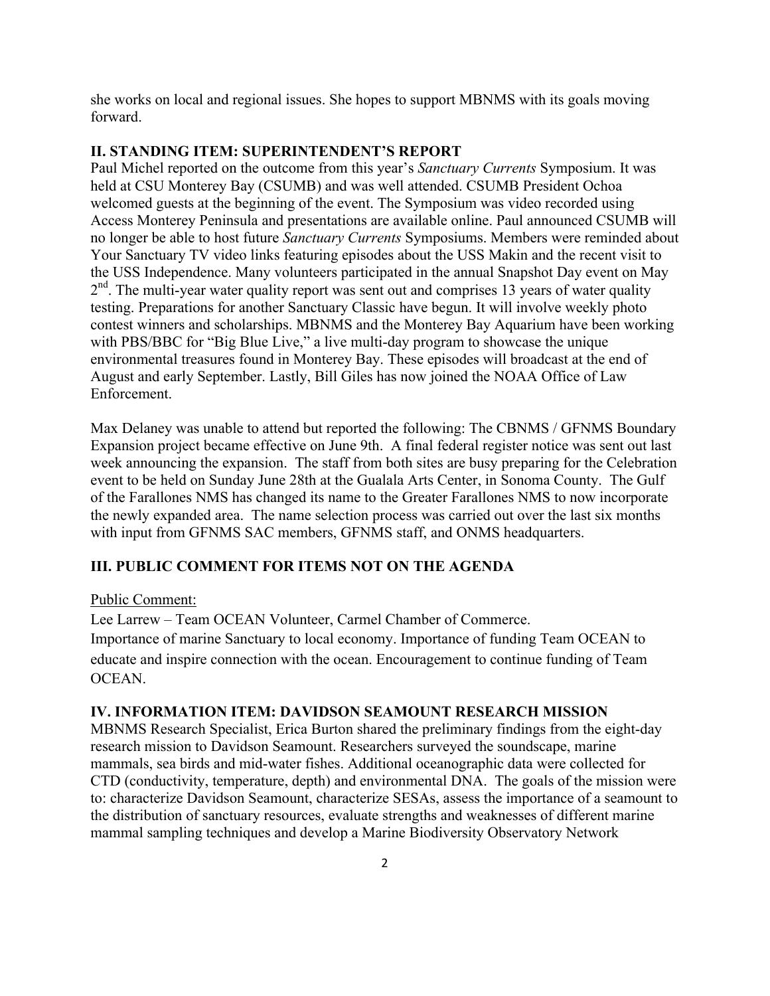she works on local and regional issues. She hopes to support MBNMS with its goals moving forward.

#### **II. STANDING ITEM: SUPERINTENDENT'S REPORT**

Paul Michel reported on the outcome from this year's *Sanctuary Currents* Symposium. It was held at CSU Monterey Bay (CSUMB) and was well attended. CSUMB President Ochoa welcomed guests at the beginning of the event. The Symposium was video recorded using Access Monterey Peninsula and presentations are available online. Paul announced CSUMB will no longer be able to host future *Sanctuary Currents* Symposiums. Members were reminded about Your Sanctuary TV video links featuring episodes about the USS Makin and the recent visit to the USS Independence. Many volunteers participated in the annual Snapshot Day event on May  $2<sup>nd</sup>$ . The multi-year water quality report was sent out and comprises 13 years of water quality testing. Preparations for another Sanctuary Classic have begun. It will involve weekly photo contest winners and scholarships. MBNMS and the Monterey Bay Aquarium have been working with PBS/BBC for "Big Blue Live," a live multi-day program to showcase the unique environmental treasures found in Monterey Bay. These episodes will broadcast at the end of August and early September. Lastly, Bill Giles has now joined the NOAA Office of Law Enforcement.

Max Delaney was unable to attend but reported the following: The CBNMS / GFNMS Boundary Expansion project became effective on June 9th. A final federal register notice was sent out last week announcing the expansion. The staff from both sites are busy preparing for the Celebration event to be held on Sunday June 28th at the Gualala Arts Center, in Sonoma County. The Gulf of the Farallones NMS has changed its name to the Greater Farallones NMS to now incorporate the newly expanded area. The name selection process was carried out over the last six months with input from GFNMS SAC members, GFNMS staff, and ONMS headquarters.

#### **III. PUBLIC COMMENT FOR ITEMS NOT ON THE AGENDA**

#### Public Comment:

Lee Larrew – Team OCEAN Volunteer, Carmel Chamber of Commerce. Importance of marine Sanctuary to local economy. Importance of funding Team OCEAN to educate and inspire connection with the ocean. Encouragement to continue funding of Team OCEAN.

#### **IV. INFORMATION ITEM: DAVIDSON SEAMOUNT RESEARCH MISSION**

MBNMS Research Specialist, Erica Burton shared the preliminary findings from the eight-day research mission to Davidson Seamount. Researchers surveyed the soundscape, marine mammals, sea birds and mid-water fishes. Additional oceanographic data were collected for CTD (conductivity, temperature, depth) and environmental DNA. The goals of the mission were to: characterize Davidson Seamount, characterize SESAs, assess the importance of a seamount to the distribution of sanctuary resources, evaluate strengths and weaknesses of different marine mammal sampling techniques and develop a Marine Biodiversity Observatory Network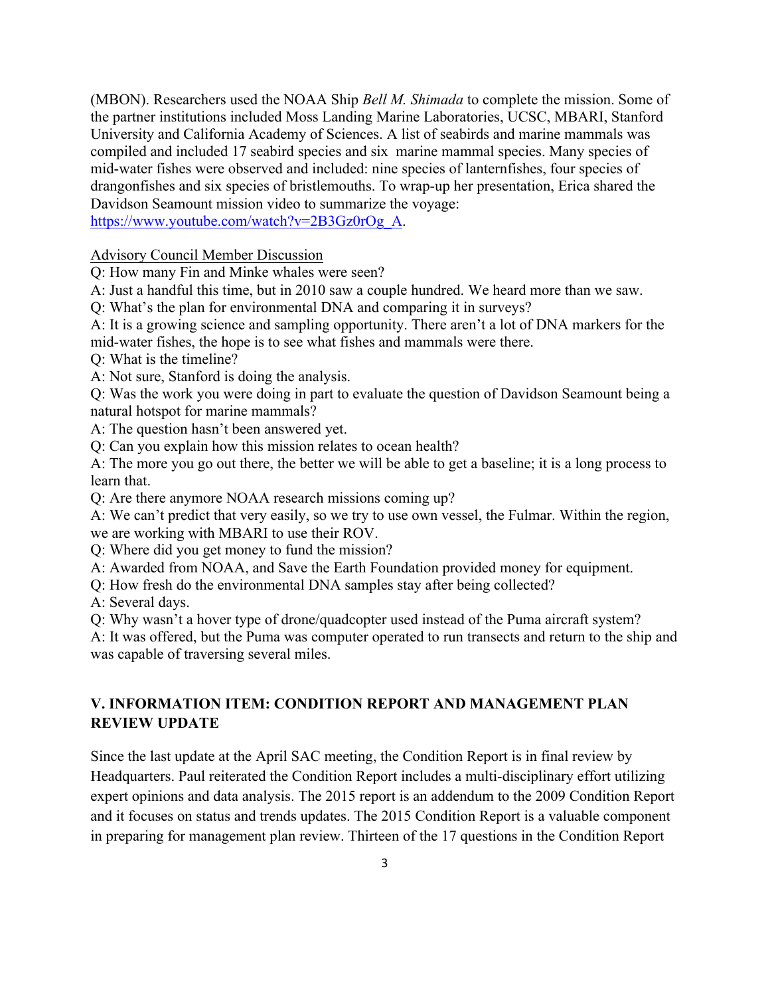(MBON). Researchers used the NOAA Ship *Bell M. Shimada* to complete the mission. Some of the partner institutions included Moss Landing Marine Laboratories, UCSC, MBARI, Stanford University and California Academy of Sciences. A list of seabirds and marine mammals was compiled and included 17 seabird species and six marine mammal species. Many species of mid-water fishes were observed and included: nine species of lanternfishes, four species of drangonfishes and six species of bristlemouths. To wrap-up her presentation, Erica shared the Davidson Seamount mission video to summarize the voyage:

https://www.youtube.com/watch?v=2B3Gz0rOg\_A.

#### Advisory Council Member Discussion

Q: How many Fin and Minke whales were seen?

A: Just a handful this time, but in 2010 saw a couple hundred. We heard more than we saw.

Q: What's the plan for environmental DNA and comparing it in surveys?

A: It is a growing science and sampling opportunity. There aren't a lot of DNA markers for the mid-water fishes, the hope is to see what fishes and mammals were there.

Q: What is the timeline?

A: Not sure, Stanford is doing the analysis.

Q: Was the work you were doing in part to evaluate the question of Davidson Seamount being a natural hotspot for marine mammals?

A: The question hasn't been answered yet.

Q: Can you explain how this mission relates to ocean health?

A: The more you go out there, the better we will be able to get a baseline; it is a long process to learn that.

Q: Are there anymore NOAA research missions coming up?

A: We can't predict that very easily, so we try to use own vessel, the Fulmar. Within the region, we are working with MBARI to use their ROV.

Q: Where did you get money to fund the mission?

A: Awarded from NOAA, and Save the Earth Foundation provided money for equipment.

Q: How fresh do the environmental DNA samples stay after being collected?

A: Several days.

Q: Why wasn't a hover type of drone/quadcopter used instead of the Puma aircraft system?

A: It was offered, but the Puma was computer operated to run transects and return to the ship and was capable of traversing several miles.

# **V. INFORMATION ITEM: CONDITION REPORT AND MANAGEMENT PLAN REVIEW UPDATE**

Since the last update at the April SAC meeting, the Condition Report is in final review by Headquarters. Paul reiterated the Condition Report includes a multi-disciplinary effort utilizing expert opinions and data analysis. The 2015 report is an addendum to the 2009 Condition Report and it focuses on status and trends updates. The 2015 Condition Report is a valuable component in preparing for management plan review. Thirteen of the 17 questions in the Condition Report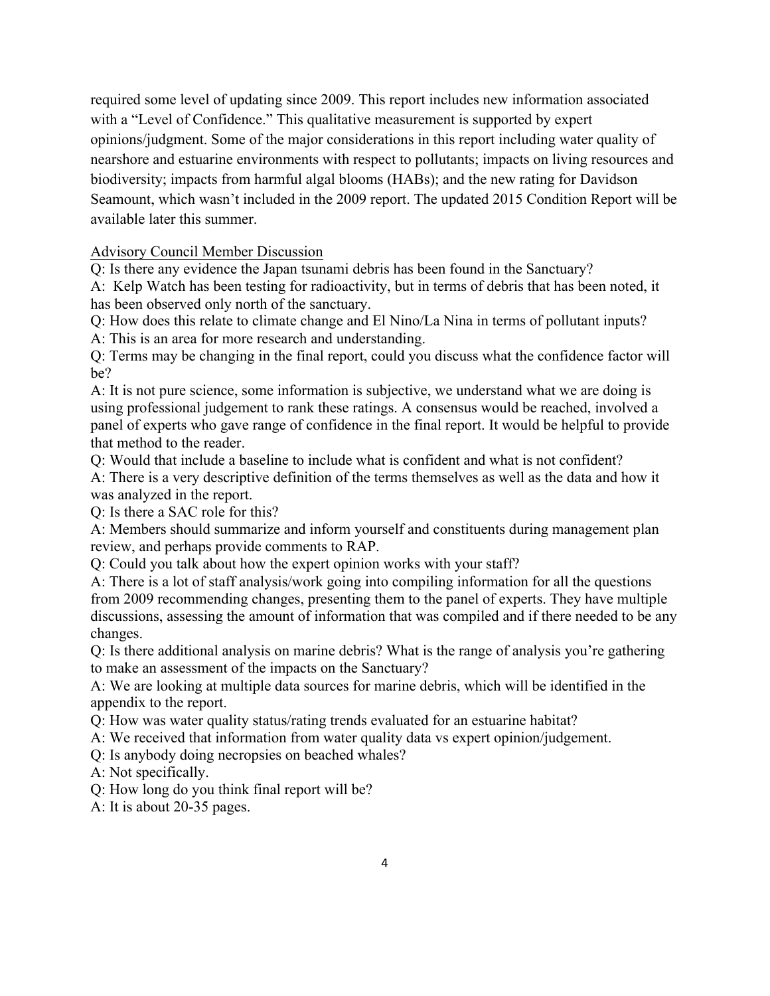required some level of updating since 2009. This report includes new information associated with a "Level of Confidence." This qualitative measurement is supported by expert opinions/judgment. Some of the major considerations in this report including water quality of nearshore and estuarine environments with respect to pollutants; impacts on living resources and biodiversity; impacts from harmful algal blooms (HABs); and the new rating for Davidson Seamount, which wasn't included in the 2009 report. The updated 2015 Condition Report will be available later this summer.

## Advisory Council Member Discussion

Q: Is there any evidence the Japan tsunami debris has been found in the Sanctuary?

A: Kelp Watch has been testing for radioactivity, but in terms of debris that has been noted, it has been observed only north of the sanctuary.

Q: How does this relate to climate change and El Nino/La Nina in terms of pollutant inputs? A: This is an area for more research and understanding.

Q: Terms may be changing in the final report, could you discuss what the confidence factor will be?

A: It is not pure science, some information is subjective, we understand what we are doing is using professional judgement to rank these ratings. A consensus would be reached, involved a panel of experts who gave range of confidence in the final report. It would be helpful to provide that method to the reader.

Q: Would that include a baseline to include what is confident and what is not confident? A: There is a very descriptive definition of the terms themselves as well as the data and how it was analyzed in the report.

Q: Is there a SAC role for this?

A: Members should summarize and inform yourself and constituents during management plan review, and perhaps provide comments to RAP.

Q: Could you talk about how the expert opinion works with your staff?

A: There is a lot of staff analysis/work going into compiling information for all the questions from 2009 recommending changes, presenting them to the panel of experts. They have multiple discussions, assessing the amount of information that was compiled and if there needed to be any changes.

Q: Is there additional analysis on marine debris? What is the range of analysis you're gathering to make an assessment of the impacts on the Sanctuary?

A: We are looking at multiple data sources for marine debris, which will be identified in the appendix to the report.

Q: How was water quality status/rating trends evaluated for an estuarine habitat?

A: We received that information from water quality data vs expert opinion/judgement.

Q: Is anybody doing necropsies on beached whales?

A: Not specifically.

Q: How long do you think final report will be?

A: It is about 20-35 pages.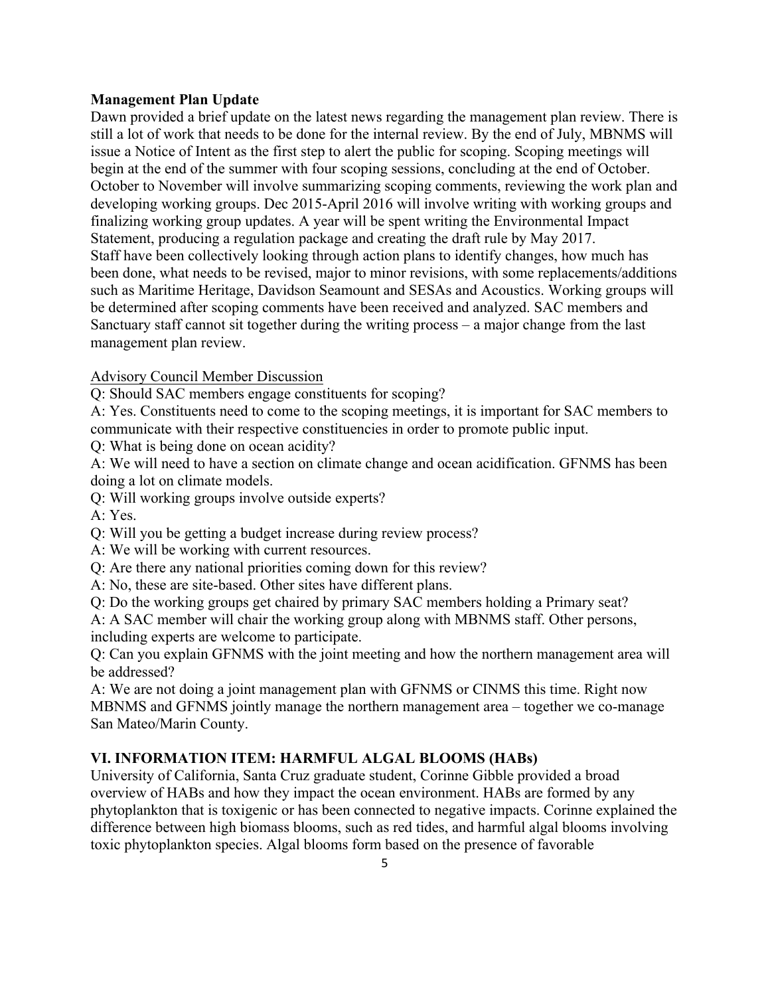#### **Management Plan Update**

Dawn provided a brief update on the latest news regarding the management plan review. There is still a lot of work that needs to be done for the internal review. By the end of July, MBNMS will issue a Notice of Intent as the first step to alert the public for scoping. Scoping meetings will begin at the end of the summer with four scoping sessions, concluding at the end of October. October to November will involve summarizing scoping comments, reviewing the work plan and developing working groups. Dec 2015-April 2016 will involve writing with working groups and finalizing working group updates. A year will be spent writing the Environmental Impact Statement, producing a regulation package and creating the draft rule by May 2017. Staff have been collectively looking through action plans to identify changes, how much has been done, what needs to be revised, major to minor revisions, with some replacements/additions such as Maritime Heritage, Davidson Seamount and SESAs and Acoustics. Working groups will be determined after scoping comments have been received and analyzed. SAC members and Sanctuary staff cannot sit together during the writing process – a major change from the last management plan review.

### Advisory Council Member Discussion

Q: Should SAC members engage constituents for scoping?

A: Yes. Constituents need to come to the scoping meetings, it is important for SAC members to communicate with their respective constituencies in order to promote public input.

Q: What is being done on ocean acidity?

A: We will need to have a section on climate change and ocean acidification. GFNMS has been doing a lot on climate models.

Q: Will working groups involve outside experts?

A: Yes.

- Q: Will you be getting a budget increase during review process?
- A: We will be working with current resources.
- Q: Are there any national priorities coming down for this review?
- A: No, these are site-based. Other sites have different plans.

Q: Do the working groups get chaired by primary SAC members holding a Primary seat?

A: A SAC member will chair the working group along with MBNMS staff. Other persons, including experts are welcome to participate.

Q: Can you explain GFNMS with the joint meeting and how the northern management area will be addressed?

A: We are not doing a joint management plan with GFNMS or CINMS this time. Right now MBNMS and GFNMS jointly manage the northern management area – together we co-manage San Mateo/Marin County.

## **VI. INFORMATION ITEM: HARMFUL ALGAL BLOOMS (HABs)**

University of California, Santa Cruz graduate student, Corinne Gibble provided a broad overview of HABs and how they impact the ocean environment. HABs are formed by any phytoplankton that is toxigenic or has been connected to negative impacts. Corinne explained the difference between high biomass blooms, such as red tides, and harmful algal blooms involving toxic phytoplankton species. Algal blooms form based on the presence of favorable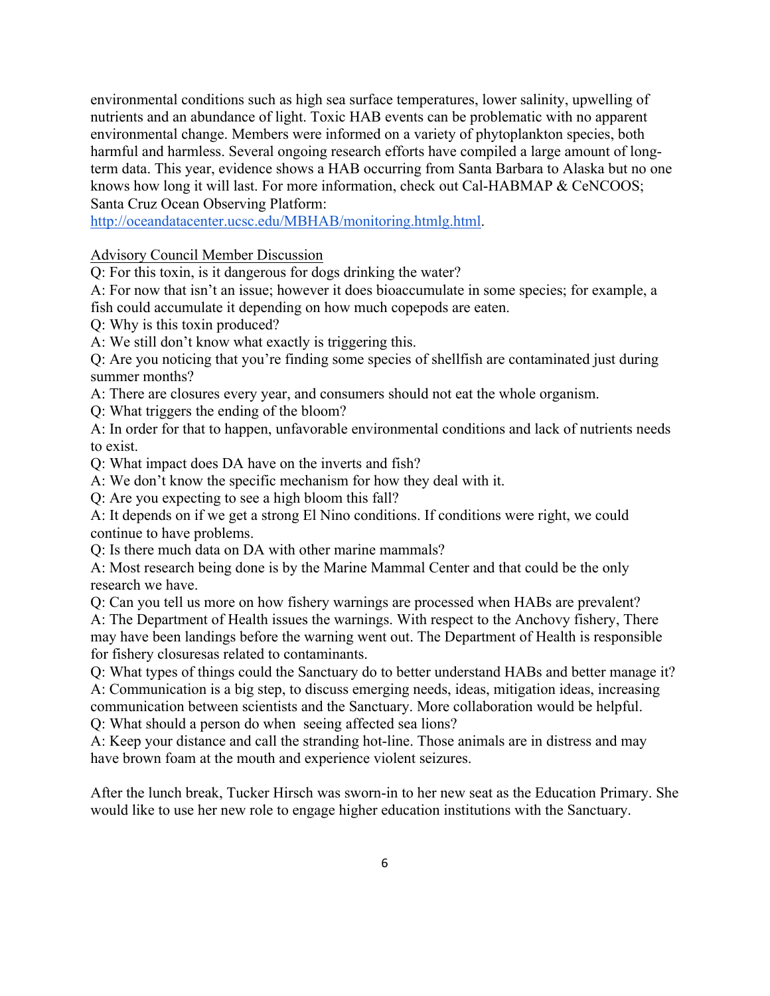environmental conditions such as high sea surface temperatures, lower salinity, upwelling of nutrients and an abundance of light. Toxic HAB events can be problematic with no apparent environmental change. Members were informed on a variety of phytoplankton species, both harmful and harmless. Several ongoing research efforts have compiled a large amount of longterm data. This year, evidence shows a HAB occurring from Santa Barbara to Alaska but no one knows how long it will last. For more information, check out Cal-HABMAP & CeNCOOS; Santa Cruz Ocean Observing Platform:

http://oceandatacenter.ucsc.edu/MBHAB/monitoring.htmlg.html.

### Advisory Council Member Discussion

Q: For this toxin, is it dangerous for dogs drinking the water?

A: For now that isn't an issue; however it does bioaccumulate in some species; for example, a fish could accumulate it depending on how much copepods are eaten.

Q: Why is this toxin produced?

A: We still don't know what exactly is triggering this.

Q: Are you noticing that you're finding some species of shellfish are contaminated just during summer months?

A: There are closures every year, and consumers should not eat the whole organism.

Q: What triggers the ending of the bloom?

A: In order for that to happen, unfavorable environmental conditions and lack of nutrients needs to exist.

Q: What impact does DA have on the inverts and fish?

A: We don't know the specific mechanism for how they deal with it.

Q: Are you expecting to see a high bloom this fall?

A: It depends on if we get a strong El Nino conditions. If conditions were right, we could continue to have problems.

Q: Is there much data on DA with other marine mammals?

A: Most research being done is by the Marine Mammal Center and that could be the only research we have.

Q: Can you tell us more on how fishery warnings are processed when HABs are prevalent? A: The Department of Health issues the warnings. With respect to the Anchovy fishery, There may have been landings before the warning went out. The Department of Health is responsible for fishery closuresas related to contaminants.

Q: What types of things could the Sanctuary do to better understand HABs and better manage it? A: Communication is a big step, to discuss emerging needs, ideas, mitigation ideas, increasing communication between scientists and the Sanctuary. More collaboration would be helpful. Q: What should a person do when seeing affected sea lions?

A: Keep your distance and call the stranding hot-line. Those animals are in distress and may have brown foam at the mouth and experience violent seizures.

After the lunch break, Tucker Hirsch was sworn-in to her new seat as the Education Primary. She would like to use her new role to engage higher education institutions with the Sanctuary.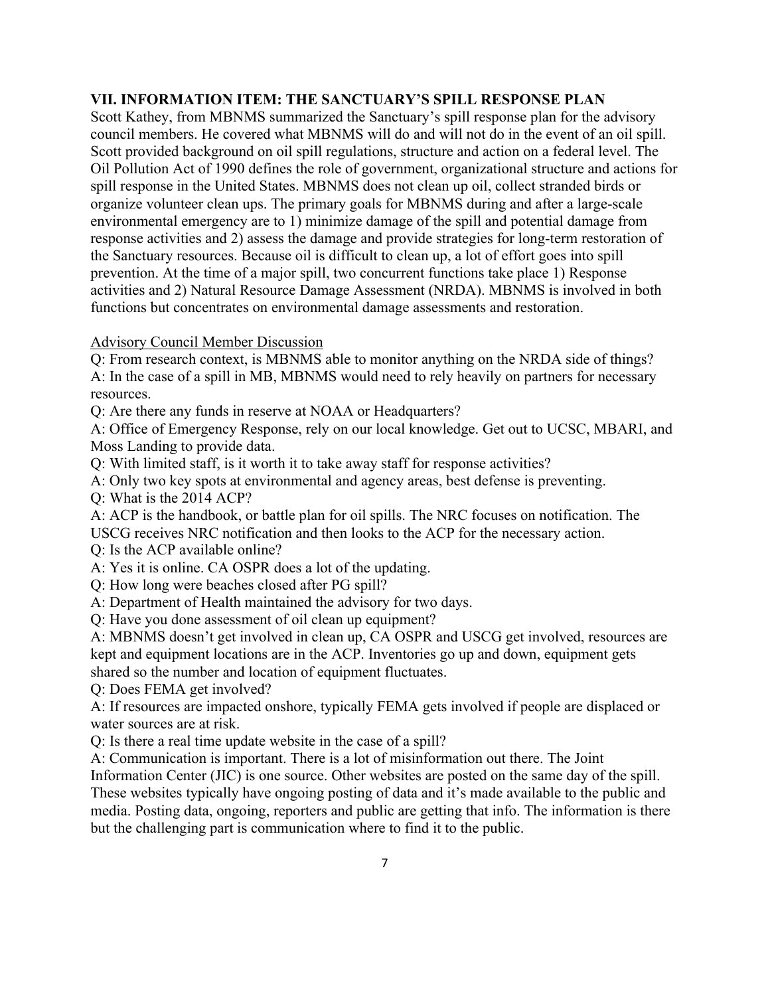### **VII. INFORMATION ITEM: THE SANCTUARY'S SPILL RESPONSE PLAN**

Scott Kathey, from MBNMS summarized the Sanctuary's spill response plan for the advisory council members. He covered what MBNMS will do and will not do in the event of an oil spill. Scott provided background on oil spill regulations, structure and action on a federal level. The Oil Pollution Act of 1990 defines the role of government, organizational structure and actions for spill response in the United States. MBNMS does not clean up oil, collect stranded birds or organize volunteer clean ups. The primary goals for MBNMS during and after a large-scale environmental emergency are to 1) minimize damage of the spill and potential damage from response activities and 2) assess the damage and provide strategies for long-term restoration of the Sanctuary resources. Because oil is difficult to clean up, a lot of effort goes into spill prevention. At the time of a major spill, two concurrent functions take place 1) Response activities and 2) Natural Resource Damage Assessment (NRDA). MBNMS is involved in both functions but concentrates on environmental damage assessments and restoration.

### Advisory Council Member Discussion

Q: From research context, is MBNMS able to monitor anything on the NRDA side of things? A: In the case of a spill in MB, MBNMS would need to rely heavily on partners for necessary resources.

Q: Are there any funds in reserve at NOAA or Headquarters?

A: Office of Emergency Response, rely on our local knowledge. Get out to UCSC, MBARI, and Moss Landing to provide data.

Q: With limited staff, is it worth it to take away staff for response activities?

A: Only two key spots at environmental and agency areas, best defense is preventing.

Q: What is the 2014 ACP?

A: ACP is the handbook, or battle plan for oil spills. The NRC focuses on notification. The USCG receives NRC notification and then looks to the ACP for the necessary action.

Q: Is the ACP available online?

A: Yes it is online. CA OSPR does a lot of the updating.

Q: How long were beaches closed after PG spill?

A: Department of Health maintained the advisory for two days.

Q: Have you done assessment of oil clean up equipment?

A: MBNMS doesn't get involved in clean up, CA OSPR and USCG get involved, resources are kept and equipment locations are in the ACP. Inventories go up and down, equipment gets shared so the number and location of equipment fluctuates.

Q: Does FEMA get involved?

A: If resources are impacted onshore, typically FEMA gets involved if people are displaced or water sources are at risk.

Q: Is there a real time update website in the case of a spill?

A: Communication is important. There is a lot of misinformation out there. The Joint

Information Center (JIC) is one source. Other websites are posted on the same day of the spill. These websites typically have ongoing posting of data and it's made available to the public and media. Posting data, ongoing, reporters and public are getting that info. The information is there but the challenging part is communication where to find it to the public.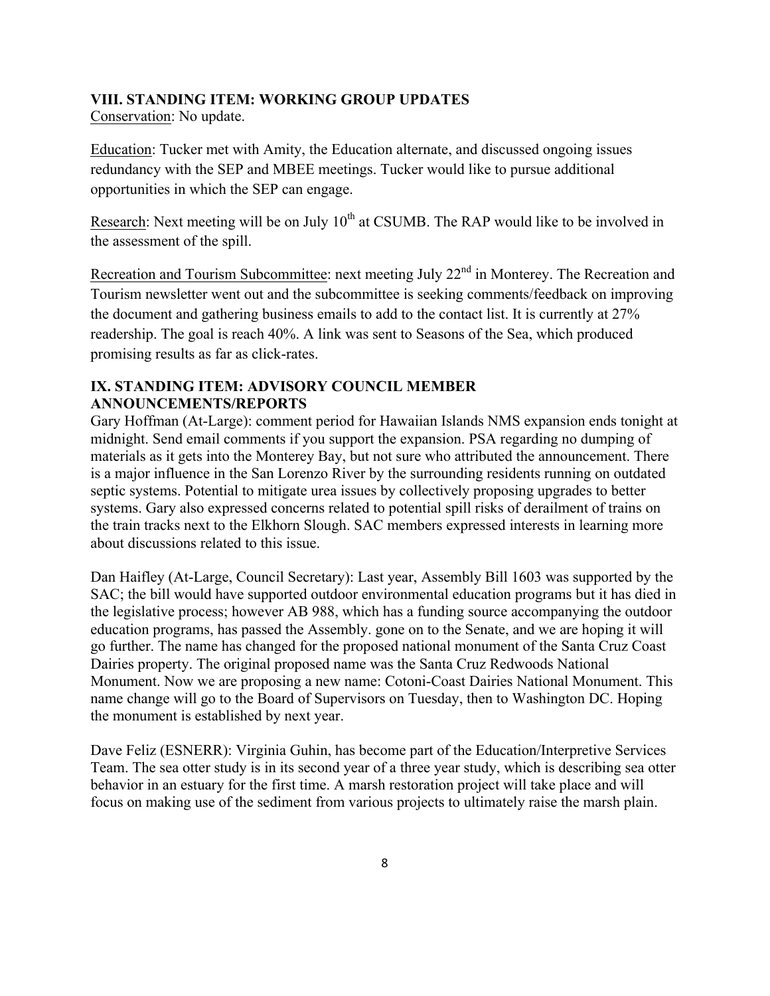#### **VIII. STANDING ITEM: WORKING GROUP UPDATES**

Conservation: No update.

Education: Tucker met with Amity, the Education alternate, and discussed ongoing issues redundancy with the SEP and MBEE meetings. Tucker would like to pursue additional opportunities in which the SEP can engage.

Research: Next meeting will be on July  $10^{th}$  at CSUMB. The RAP would like to be involved in the assessment of the spill.

Recreation and Tourism Subcommittee: next meeting July 22<sup>nd</sup> in Monterey. The Recreation and Tourism newsletter went out and the subcommittee is seeking comments/feedback on improving the document and gathering business emails to add to the contact list. It is currently at 27% readership. The goal is reach 40%. A link was sent to Seasons of the Sea, which produced promising results as far as click-rates.

## **IX. STANDING ITEM: ADVISORY COUNCIL MEMBER ANNOUNCEMENTS/REPORTS**

Gary Hoffman (At-Large): comment period for Hawaiian Islands NMS expansion ends tonight at midnight. Send email comments if you support the expansion. PSA regarding no dumping of materials as it gets into the Monterey Bay, but not sure who attributed the announcement. There is a major influence in the San Lorenzo River by the surrounding residents running on outdated septic systems. Potential to mitigate urea issues by collectively proposing upgrades to better systems. Gary also expressed concerns related to potential spill risks of derailment of trains on the train tracks next to the Elkhorn Slough. SAC members expressed interests in learning more about discussions related to this issue.

Dan Haifley (At-Large, Council Secretary): Last year, Assembly Bill 1603 was supported by the SAC; the bill would have supported outdoor environmental education programs but it has died in the legislative process; however AB 988, which has a funding source accompanying the outdoor education programs, has passed the Assembly. gone on to the Senate, and we are hoping it will go further. The name has changed for the proposed national monument of the Santa Cruz Coast Dairies property. The original proposed name was the Santa Cruz Redwoods National Monument. Now we are proposing a new name: Cotoni-Coast Dairies National Monument. This name change will go to the Board of Supervisors on Tuesday, then to Washington DC. Hoping the monument is established by next year.

Dave Feliz (ESNERR): Virginia Guhin, has become part of the Education/Interpretive Services Team. The sea otter study is in its second year of a three year study, which is describing sea otter behavior in an estuary for the first time. A marsh restoration project will take place and will focus on making use of the sediment from various projects to ultimately raise the marsh plain.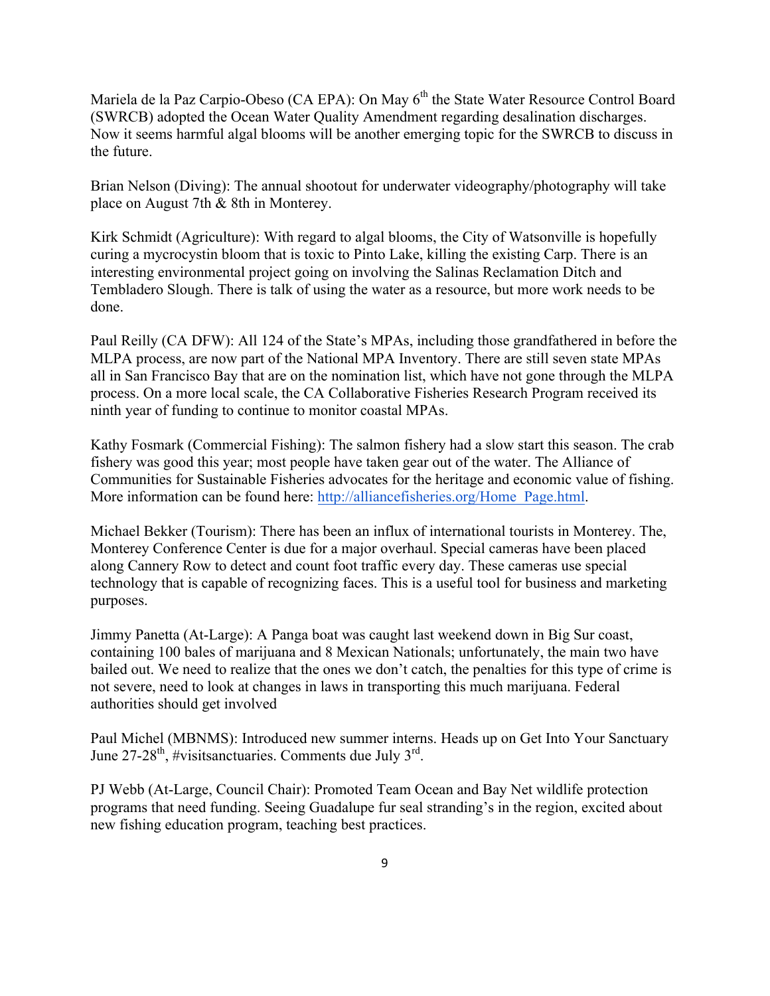Mariela de la Paz Carpio-Obeso (CA EPA): On May 6<sup>th</sup> the State Water Resource Control Board (SWRCB) adopted the Ocean Water Quality Amendment regarding desalination discharges. Now it seems harmful algal blooms will be another emerging topic for the SWRCB to discuss in the future.

Brian Nelson (Diving): The annual shootout for underwater videography/photography will take place on August 7th & 8th in Monterey.

Kirk Schmidt (Agriculture): With regard to algal blooms, the City of Watsonville is hopefully curing a mycrocystin bloom that is toxic to Pinto Lake, killing the existing Carp. There is an interesting environmental project going on involving the Salinas Reclamation Ditch and Tembladero Slough. There is talk of using the water as a resource, but more work needs to be done.

Paul Reilly (CA DFW): All 124 of the State's MPAs, including those grandfathered in before the MLPA process, are now part of the National MPA Inventory. There are still seven state MPAs all in San Francisco Bay that are on the nomination list, which have not gone through the MLPA process. On a more local scale, the CA Collaborative Fisheries Research Program received its ninth year of funding to continue to monitor coastal MPAs.

Kathy Fosmark (Commercial Fishing): The salmon fishery had a slow start this season. The crab fishery was good this year; most people have taken gear out of the water. The Alliance of Communities for Sustainable Fisheries advocates for the heritage and economic value of fishing. More information can be found here: http://alliancefisheries.org/Home\_Page.html.

Michael Bekker (Tourism): There has been an influx of international tourists in Monterey. The, Monterey Conference Center is due for a major overhaul. Special cameras have been placed along Cannery Row to detect and count foot traffic every day. These cameras use special technology that is capable of recognizing faces. This is a useful tool for business and marketing purposes.

Jimmy Panetta (At-Large): A Panga boat was caught last weekend down in Big Sur coast, containing 100 bales of marijuana and 8 Mexican Nationals; unfortunately, the main two have bailed out. We need to realize that the ones we don't catch, the penalties for this type of crime is not severe, need to look at changes in laws in transporting this much marijuana. Federal authorities should get involved

Paul Michel (MBNMS): Introduced new summer interns. Heads up on Get Into Your Sanctuary June 27-28<sup>th</sup>, #visitsanctuaries. Comments due July 3<sup>rd</sup>.

PJ Webb (At-Large, Council Chair): Promoted Team Ocean and Bay Net wildlife protection programs that need funding. Seeing Guadalupe fur seal stranding's in the region, excited about new fishing education program, teaching best practices.